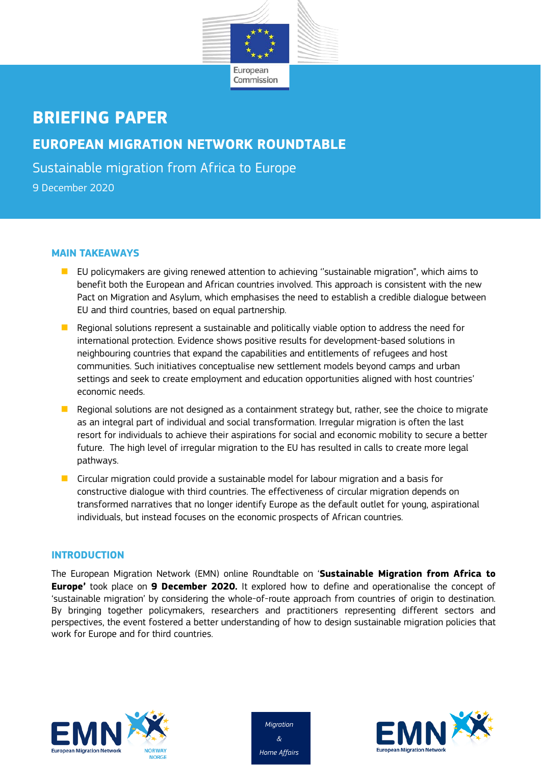

# **BRIEFING PAPER EUROPEAN MIGRATION NETWORK ROUNDTABLE** Sustainable migration from Africa to Europe

9 December 2020

### **MAIN TAKEAWAYS**

- **EU** policymakers are giving renewed attention to achieving "sustainable migration", which aims to benefit both the European and African countries involved. This approach is consistent with the new Pact on Migration and Asylum, which emphasises the need to establish a credible dialogue between EU and third countries, based on equal partnership.
- $\blacksquare$  Regional solutions represent a sustainable and politically viable option to address the need for international protection. Evidence shows positive results for development-based solutions in neighbouring countries that expand the capabilities and entitlements of refugees and host communities. Such initiatives conceptualise new settlement models beyond camps and urban settings and seek to create employment and education opportunities aligned with host countries' economic needs.
- $\blacksquare$  Regional solutions are not designed as a containment strategy but, rather, see the choice to migrate as an integral part of individual and social transformation. Irregular migration is often the last resort for individuals to achieve their aspirations for social and economic mobility to secure a better future. The high level of irregular migration to the EU has resulted in calls to create more legal pathways.
- **D** Circular migration could provide a sustainable model for labour migration and a basis for constructive dialogue with third countries. The effectiveness of circular migration depends on transformed narratives that no longer identify Europe as the default outlet for young, aspirational individuals, but instead focuses on the economic prospects of African countries.

## **INTRODUCTION**

The European Migration Network (EMN) online Roundtable on '**Sustainable Migration from Africa to Europe'** took place on **9 December 2020.** It explored how to define and operationalise the concept of 'sustainable migration' by considering the whole-of-route approach from countries of origin to destination. By bringing together policymakers, researchers and practitioners representing different sectors and perspectives, the event fostered a better understanding of how to design sustainable migration policies that work for Europe and for third countries.





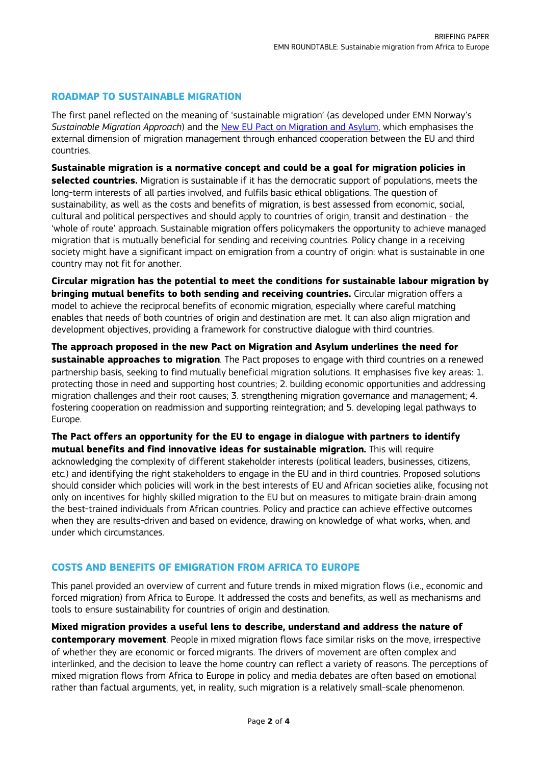### **ROADMAP TO SUSTAINABLE MIGRATION**

The first panel reflected on the meaning of 'sustainable migration' (as developed under EMN Norway's *Sustainable Migration Approach*) and the [New EU Pact on Migration and Asylum,](https://ec.europa.eu/info/strategy/priorities-2019-2024/promoting-our-european-way-life/new-pact-migration-and-asylum_en) which emphasises the external dimension of migration management through enhanced cooperation between the EU and third countries.

**Sustainable migration is a normative concept and could be a goal for migration policies in selected countries.** Migration is sustainable if it has the democratic support of populations, meets the long-term interests of all parties involved, and fulfils basic ethical obligations. The question of sustainability, as well as the costs and benefits of migration, is best assessed from economic, social, cultural and political perspectives and should apply to countries of origin, transit and destination - the 'whole of route' approach. Sustainable migration offers policymakers the opportunity to achieve managed migration that is mutually beneficial for sending and receiving countries. Policy change in a receiving society might have a significant impact on emigration from a country of origin: what is sustainable in one country may not fit for another.

**Circular migration has the potential to meet the conditions for sustainable labour migration by bringing mutual benefits to both sending and receiving countries.** Circular migration offers a model to achieve the reciprocal benefits of economic migration, especially where careful matching enables that needs of both countries of origin and destination are met. It can also align migration and development objectives, providing a framework for constructive dialogue with third countries.

**The approach proposed in the new Pact on Migration and Asylum underlines the need for sustainable approaches to migration**. The Pact proposes to engage with third countries on a renewed partnership basis, seeking to find mutually beneficial migration solutions. It emphasises five key areas: 1. protecting those in need and supporting host countries; 2. building economic opportunities and addressing migration challenges and their root causes; 3. strengthening migration governance and management; 4. fostering cooperation on readmission and supporting reintegration; and 5. developing legal pathways to Europe.

**The Pact offers an opportunity for the EU to engage in dialogue with partners to identify mutual benefits and find innovative ideas for sustainable migration.** This will require

acknowledging the complexity of different stakeholder interests (political leaders, businesses, citizens, etc.) and identifying the right stakeholders to engage in the EU and in third countries. Proposed solutions should consider which policies will work in the best interests of EU and African societies alike, focusing not only on incentives for highly skilled migration to the EU but on measures to mitigate brain-drain among the best-trained individuals from African countries. Policy and practice can achieve effective outcomes when they are results-driven and based on evidence, drawing on knowledge of what works, when, and under which circumstances.

#### **COSTS AND BENEFITS OF EMIGRATION FROM AFRICA TO EUROPE**

This panel provided an overview of current and future trends in mixed migration flows (i.e., economic and forced migration) from Africa to Europe. It addressed the costs and benefits, as well as mechanisms and tools to ensure sustainability for countries of origin and destination.

**Mixed migration provides a useful lens to describe, understand and address the nature of contemporary movement**. People in mixed migration flows face similar risks on the move, irrespective of whether they are economic or forced migrants. The drivers of movement are often complex and interlinked, and the decision to leave the home country can reflect a variety of reasons. The perceptions of mixed migration flows from Africa to Europe in policy and media debates are often based on emotional rather than factual arguments, yet, in reality, such migration is a relatively small-scale phenomenon.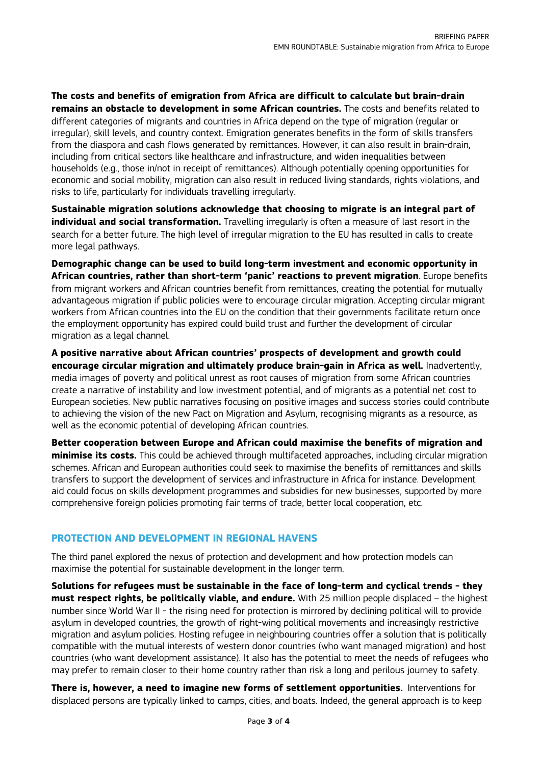**The costs and benefits of emigration from Africa are difficult to calculate but brain-drain remains an obstacle to development in some African countries.** The costs and benefits related to different categories of migrants and countries in Africa depend on the type of migration (regular or irregular), skill levels, and country context. Emigration generates benefits in the form of skills transfers from the diaspora and cash flows generated by remittances. However, it can also result in brain-drain, including from critical sectors like healthcare and infrastructure, and widen inequalities between households (e.g., those in/not in receipt of remittances). Although potentially opening opportunities for economic and social mobility, migration can also result in reduced living standards, rights violations, and risks to life, particularly for individuals travelling irregularly.

**Sustainable migration solutions acknowledge that choosing to migrate is an integral part of individual and social transformation.** Travelling irregularly is often a measure of last resort in the search for a better future. The high level of irregular migration to the EU has resulted in calls to create more legal pathways.

**Demographic change can be used to build long-term investment and economic opportunity in African countries, rather than short-term 'panic' reactions to prevent migration**. Europe benefits from migrant workers and African countries benefit from remittances, creating the potential for mutually advantageous migration if public policies were to encourage circular migration. Accepting circular migrant workers from African countries into the EU on the condition that their governments facilitate return once the employment opportunity has expired could build trust and further the development of circular migration as a legal channel.

**A positive narrative about African countries' prospects of development and growth could encourage circular migration and ultimately produce brain-gain in Africa as well.** Inadvertently, media images of poverty and political unrest as root causes of migration from some African countries create a narrative of instability and low investment potential, and of migrants as a potential net cost to European societies. New public narratives focusing on positive images and success stories could contribute to achieving the vision of the new Pact on Migration and Asylum, recognising migrants as a resource, as well as the economic potential of developing African countries.

**Better cooperation between Europe and African could maximise the benefits of migration and minimise its costs.** This could be achieved through multifaceted approaches, including circular migration schemes. African and European authorities could seek to maximise the benefits of remittances and skills transfers to support the development of services and infrastructure in Africa for instance. Development aid could focus on skills development programmes and subsidies for new businesses, supported by more comprehensive foreign policies promoting fair terms of trade, better local cooperation, etc.

## **PROTECTION AND DEVELOPMENT IN REGIONAL HAVENS**

The third panel explored the nexus of protection and development and how protection models can maximise the potential for sustainable development in the longer term.

**Solutions for refugees must be sustainable in the face of long-term and cyclical trends - they must respect rights, be politically viable, and endure.** With 25 million people displaced – the highest number since World War II - the rising need for protection is mirrored by declining political will to provide asylum in developed countries, the growth of right-wing political movements and increasingly restrictive migration and asylum policies. Hosting refugee in neighbouring countries offer a solution that is politically compatible with the mutual interests of western donor countries (who want managed migration) and host countries (who want development assistance). It also has the potential to meet the needs of refugees who may prefer to remain closer to their home country rather than risk a long and perilous journey to safety.

**There is, however, a need to imagine new forms of settlement opportunities**. Interventions for displaced persons are typically linked to camps, cities, and boats. Indeed, the general approach is to keep